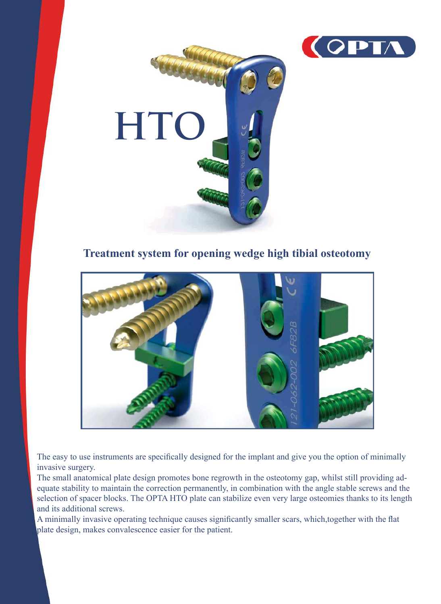



**Treatment system for opening wedge high tibial osteotomy**



The easy to use instruments are specifically designed for the implant and give you the option of minimally invasive surgery.

The small anatomical plate design promotes bone regrowth in the osteotomy gap, whilst still providing adequate stability to maintain the correction permanently, in combination with the angle stable screws and the selection of spacer blocks. The OPTA HTO plate can stabilize even very large osteomies thanks to its length and its additional screws.

A minimally invasive operating technique causes significantly smaller scars, which,together with the flat plate design, makes convalescence easier for the patient.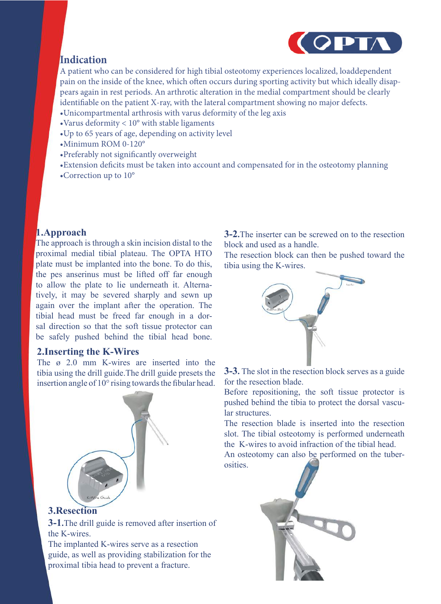

# **Indication**

A patient who can be considered for high tibial osteotomy experiences localized, loaddependent pain on the inside of the knee, which often occurs during sporting activity but which ideally disappears again in rest periods. An arthrotic alteration in the medial compartment should be clearly identifiable on the patient X-ray, with the lateral compartment showing no major defects. •Unicompartmental arthrosis with varus deformity of the leg axis

- 
- •Varus deformity < 10° with stable ligaments
- •Up to 65 years of age, depending on activity level
- •Minimum ROM 0-120°
- •Preferably not significantly overweight
- •Extension deficits must be taken into account and compensated for in the osteotomy planning
- •Correction up to 10°

## **1.Approach**

The approach is through a skin incision distal to the proximal medial tibial plateau. The OPTA HTO plate must be implanted into the bone. To do this, the pes anserinus must be lifted off far enough to allow the plate to lie underneath it. Alternatively, it may be severed sharply and sewn up again over the implant after the operation. The tibial head must be freed far enough in a dorsal direction so that the soft tissue protector can be safely pushed behind the tibial head bone.

### **2.Inserting the K-Wires**

The ø 2.0 mm K-wires are inserted into the tibia using the drill guide.The drill guide presets the insertion angle of 10° rising towards the fibular head.



**3.Resection**

**3-1.**The drill guide is removed after insertion of the K-wires.

The implanted K-wires serve as a resection guide, as well as providing stabilization for the proximal tibia head to prevent a fracture.

**3-2.**The inserter can be screwed on to the resection block and used as a handle.

The resection block can then be pushed toward the tibia using the K-wires.



**3-3.** The slot in the resection block serves as a guide for the resection blade.

Before repositioning, the soft tissue protector is pushed behind the tibia to protect the dorsal vascular structures.

The resection blade is inserted into the resection slot. The tibial osteotomy is performed underneath the K-wires to avoid infraction of the tibial head.

An osteotomy can also be performed on the tuberosities.

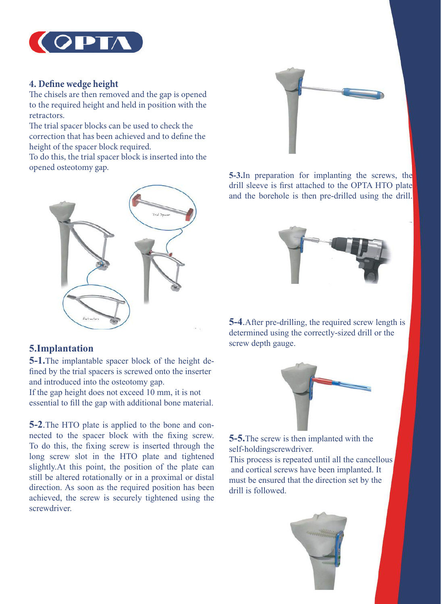

### **4. Define wedge height**

The chisels are then removed and the gap is opened to the required height and held in position with the retractors.

The trial spacer blocks can be used to check the correction that has been achieved and to define the height of the spacer block required.

To do this, the trial spacer block is inserted into the opened osteotomy gap.



## **5.Implantation**

**5-1.**The implantable spacer block of the height defined by the trial spacers is screwed onto the inserter and introduced into the osteotomy gap.

If the gap height does not exceed 10 mm, it is not essential to fill the gap with additional bone material.

**5-2**.The HTO plate is applied to the bone and connected to the spacer block with the fixing screw. To do this, the fixing screw is inserted through the long screw slot in the HTO plate and tightened slightly.At this point, the position of the plate can still be altered rotationally or in a proximal or distal direction. As soon as the required position has been achieved, the screw is securely tightened using the screwdriver.



**5-3.**In preparation for implanting the screws, the drill sleeve is first attached to the OPTA HTO plate and the borehole is then pre-drilled using the drill.



**5-4**.After pre-drilling, the required screw length is determined using the correctly-sized drill or the screw depth gauge.



**5-5.**The screw is then implanted with the self-holdingscrewdriver.

This process is repeated until all the cancellous and cortical screws have been implanted. It must be ensured that the direction set by the drill is followed.